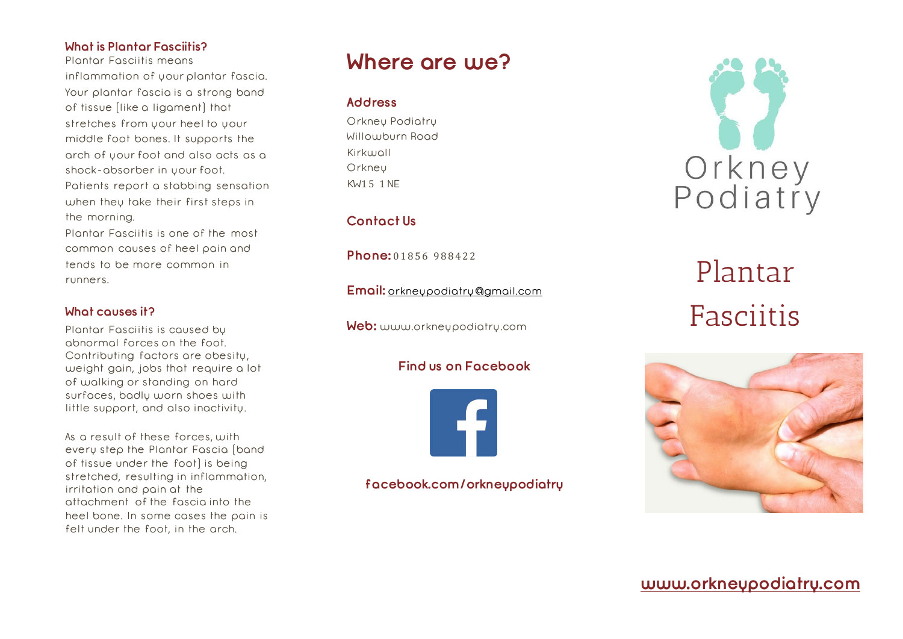### **What is Plantar Fasciitis?**

Plantar Fasciitis means inflammation of your plantar fascia. Your plantar fascia is a strong band of tissue (like a ligament) that stretches from your heel to your middle foot bones. It supports the arch of your foot and also acts as a shock-absorber in your foot. Patients report a stabbing sensation when they take their first steps in the morning.

Plantar Fasciitis is one of the most common causes of heel pain and tends to be more common in runners.

#### **What causes it?**

Plantar Fasciitis is caused by abnormal forces on the foot. Contributing factors are obesity, weight gain, jobs that require a lot of walking or standing on hard surfaces, badly worn shoes with little support, and also inactivity.

As a result of these forces, with every step the Plantar Fascia (band of tissue under the foot) is being stretched, resulting in inflammation, irritation and pain at the attachment of the fascia into the heel bone. In some cases the pain is felt under the foot, in the arch.

### **Where are we?**

### **Address**

Orkney Podiatry Willowburn Road Kirkwall **Orkney** KW1 5 1NE

### **Contact Us**

**Phone:** 01856 988422

**Email:** [orkneypodiatry@gmail.com](mailto:orkneypodiatry@gmail.com)

**Web:** www.orkneypodiatry.com

### **Find us on Facebook**



**facebook.com/orkneypodiatry**



# Plantar Fasciitis



**[www.orkneypodiatry.com](http://www.orkneypodiatry.com/)**